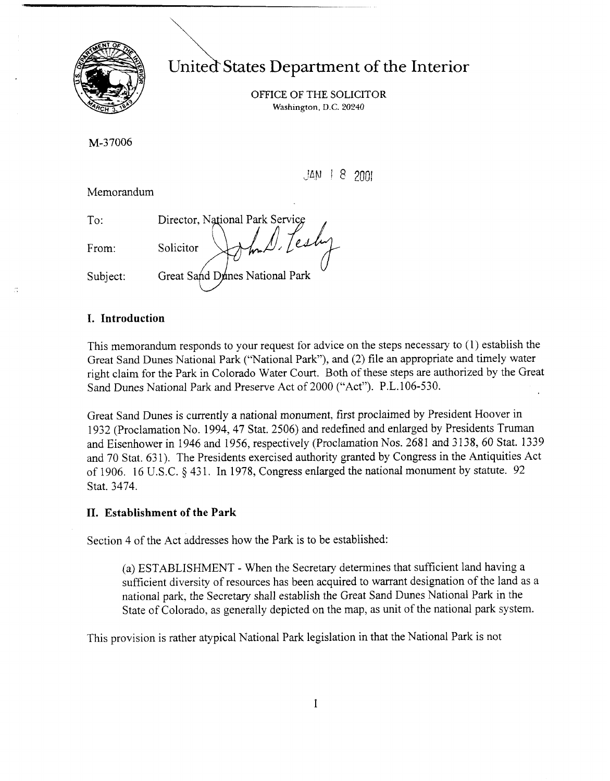

United States Department of the Interior

OFFICE OF THE SOLICITOR Washington, D.C. 20240

M-37006

 $JAN$   $18$  2001

Memorandum

To:

From: Solicitor

Subject: Great Sand Danes National Park

## **I. Introduction**

This memorandum responds to your request for advice on the steps necessary to (1) establish the Great Sand Dunes National Park ("National Park"), and (2) file an appropriate and timely water right claim for the Park in Colorado Water Court. Both of these steps are authorized by the Great Sand Dunes National Park and Preserve Act of 2000 ("Act"). P.L.106-530.

Great Sand Dunes is currently a national monument, first proclaimed by President Hoover in 1932 (Proclamation No. 1994,47 Stat. 2506) and redefined and enlarged by Presidents Truman and Eisenhower in 1946 and 1956, respectively (Proclamation Nos. 2681 and 3138, 60 Stat. 1339 and 70 Stat. 63 1). The Presidents exercised authority granted by Congress in the Antiquities Act of 1906. 16 U.S.C. *5* 43 1. In 1978, Congress enlarged the national monument by statute. 92 Stat. 3474.

## **11. Establishment of the Park**

Section 4 of the Act addresses how the Park is to be established:

Director, National Park Service

(a) ESTABLISHMENT - When the Secretary determines that sufficient land having a sufficient diversity of resources has been acquired to warrant designation of the land as a national park, the Secretary shall establish the Great Sand Dunes National Park in the State of Colorado, as generally depicted on the map, as unit of the national park system.

This provision is rather atypical National Park legislation in that the National Park is not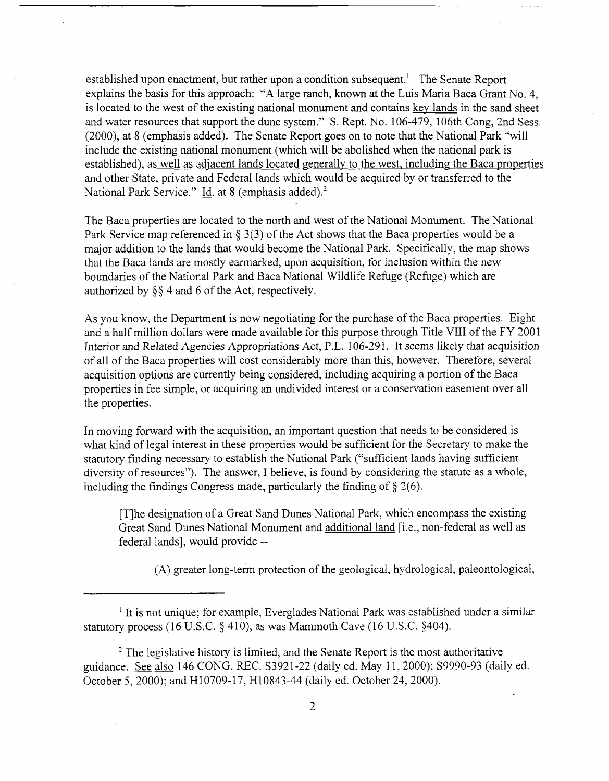established upon enactment, but rather upon a condition subsequent.' The Senate Report explains the basis for this approach: "A large ranch, known at the Luis Maria Baca Grant No. 4, is located to the west of the existing national monument and contains kev lands in the sand sheet and water resources that support the dune system." S. Rept. No. 106-479, 106th Cong, 2nd Sess. (2000), at 8 (emphasis added). The Senate Report goes on to note that the National Park "will include the existing national monument (which will be abolished when the national park is established), as well as adiacent lands located generally to the west, including the Baca properties and other State, private and Federal lands which would be acquired by or transferred to the National Park Service." Id. at 8 (emphasis added).<sup>2</sup>

The Baca properties are located to the north and west of the National Monument. The National Park Service map referenced in § 3(3) of the Act shows that the Baca properties would be a major addition to the lands that would become the National Park. Specifically, the map shows that the Baca lands are mostly earmarked, upon acquisition, for inclusion within the new boundaries of the National Park and Baca National Wildlife Refuge (Refuge) which are authorized by \$5 4 and 6 of the Act, respectively.

As you know, the Department is now negotiating for the purchase of the Baca properties. Eight and a half million dollars were made available for this purpose through Title VIII of the FY 2001 Interior and Related Agencies Appropriations Act, P.L. 106-291. It seems likely that acquisition of all of the Baca properties will cost considerably more than this, however. Therefore, several acquisition options are currently being considered, including acquiring a portion of the Baca properties in fee simple, or acquiring an undivided interest or a conservation easement over all the properties.

In moving forward with the acquisition, an important question that needs to be considered is what kind of legal interest in these properties would be sufficient for the Secretary to make the statutory finding necessary to establish the National Park ("sufficient lands having sufficient diversity of resources"). The answer, I believe, is found by considering the statute as a whole, including the findings Congress made, particularly the finding of  $\S 2(6)$ .

[Tlhe designation of a Great Sand Dunes National Park, which encompass the existing Great Sand Dunes National Monument and additional land [i.e., non-federal as well as federal lands], would provide --

(A) greater long-term protection of the geological, hydrological, paleontological,

If it is not unique; for example, Everglades National Park was established under a similar statutory process (16 U.S.C. § 410), as was Mammoth Cave (16 U.S.C. §404).

 $2$  The legislative history is limited, and the Senate Report is the most authoritative guidance. See also 146 CONG. REC. S392 1-22 (daily ed. May 1 1,2000); S9990-93 (daily ed. October 5,2000); and H10709-17, H10843-44 (daily ed. October 24, 2000).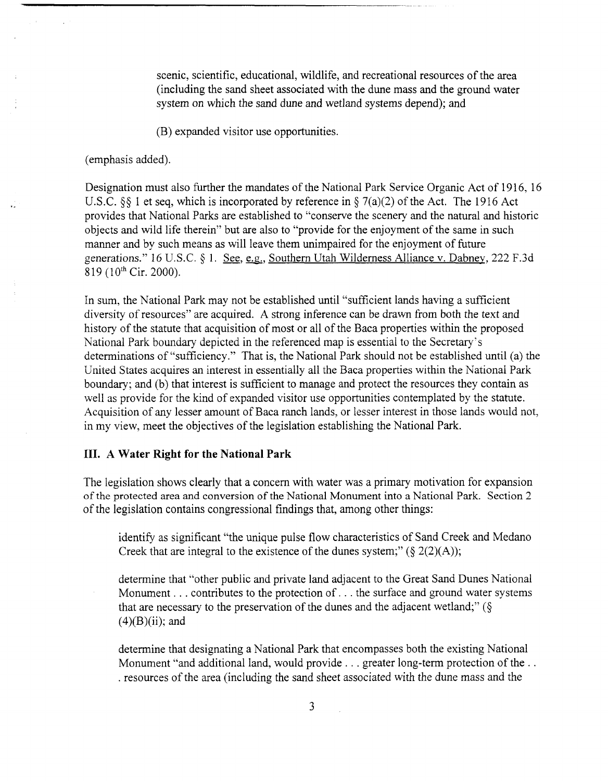scenic, scientific, educational, wildlife, and recreational resources of the area (including the sand sheet associated with the dune mass and the ground water system on which the sand dune and wetland systems depend); and

(B) expanded visitor use opportunities.

(emphasis added).

Designation must also further the mandates of the National Park Service Organic Act of 19 16, 16 U.S.C. §§ 1 et seq, which is incorporated by reference in § 7(a)(2) of the Act. The 1916 Act provides that National Parks are established to "conserve the scenery and the natural and historic objects and wild life therein" but are also to "provide for the enjoyment of the same in such manner and by such means as will leave them unimpaired for the enjoyment of future generations." 16 U.S.C. *5* 1. See, e.g., Southern Utah Wilderness Alliance v. Dabney, 222 F.3d 819 (10<sup>th</sup> Cir. 2000).

In sum, the National Park may not be established until "sufficient lands having a sufficient diversity of resources" are acquired. A strong inference can be drawn from both the text and history of the statute that acquisition of most or all of the Baca properties within the proposed National Park boundary depicted in the referenced map is essential to the Secretary's determinations of "sufficiency." That is, the National Park should not be established until (a) the United States acquires an interest in essentially all the Baca properties within the Xationai Park boundary; and (b) that interest is sufficient to manage and protect the resources they contain as well as provide for the kind of expanded visitor use opportunities contemplated by the statute. Acquisition of any lesser amount of Baca ranch lands, or lesser interest in those lands would not, in my view, meet the objectives of the legislation establishing the National Park.

## **111. A Water Right for the National Park**

The legislation shows clearly that a concern with water was a primary motivation for expansion of the protected area and conversion of the National Monument into a National Park. Section 2 of the legislation contains congressional findings that, among other things:

identify as significant "the unique pulse flow characteristics of Sand Creek and Medano Creek that are integral to the existence of the dunes system;"  $(\S 2(2)(A))$ ;

determine that "other public and private land adjacent to the Great Sand Dunes National Monument . . . contributes to the protection of . . . the surface and ground water systems that are necessary to the preservation of the dunes and the adjacent wetland;" *(5*   $(4)(B)(ii)$ ; and

determine that designating a National Park that encompasses both the existing National Monument "and additional land, would provide . . . greater long-term protection of the . . . resources of the area (including the sand sheet associated with the dune mass and the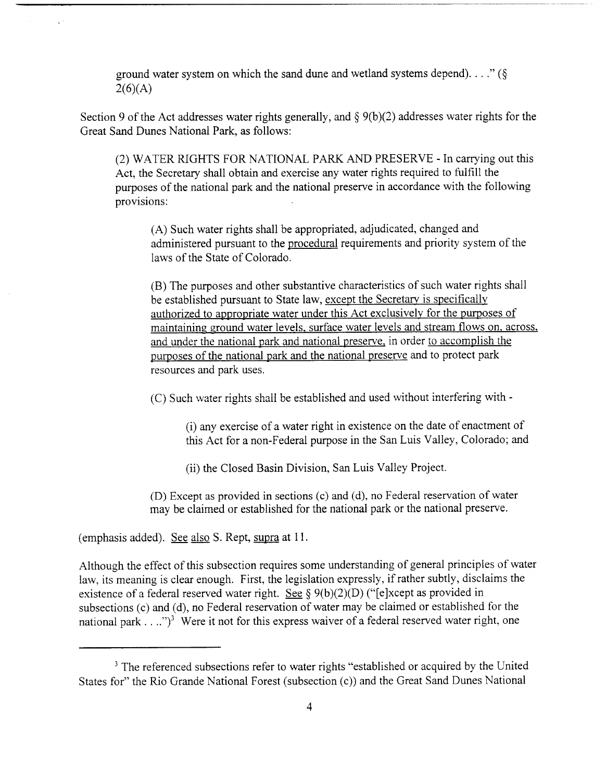ground water system on which the sand dune and wetland systems depend). . . ." *(5*   $2(6)(A)$ 

Section 9 of the Act addresses water rights generally, and § 9(b)(2) addresses water rights for the Great Sand Dunes National Park, as follows:

(2) WATER RIGHTS FOR NATIONAL PARK AND PRESERVE - In carrying out this Act, the Secretary shall obtain and exercise any water rights required to fulfill the purposes of the national park and the national preserve in accordance with the following provisions:

(A) Such water rights shall be appropriated, adjudicated, changed and administered pursuant to the procedural requirements and priority system of the laws of the State of Colorado.

(B) The purposes and other substantive characteristics of such water rights shall be established pursuant to State law, except the Secretaw is specificallv authorized to appropriate water under this Act exclusively for the purposes of maintaining ground water levels, surface water levels and stream flows on. across. and under the national park and national preserve, in order to accomplish the purposes of the national park and the national preserve and to protect park resources and park uses.

(C) Such water rights shall be established and used without interfering with -

(i) any exercise of a water right in existence on the date of enactment of this Act for a non-Federal purpose in the San Luis Valley, Colorado; and

(ii) the Closed Basin Division, San Luis Valley Project.

(D) Except as provided in sections (c) and (d), no Federal reservation of water may be claimed or established for the national park or the national preserve.

(emphasis added). See also S. Rept, supra at 11.

Although the effect of this subsection requires some understanding of general principles of water law, its meaning is clear enough. First, the legislation expressly, if rather subtly, disclaims the existence of a federal reserved water right. *See* § 9(b)(2)(D) ("[elxcept as provided in subsections (c) and (d), no Federal reservation of water may be claimed or established for the national park  $\dots$ .")<sup>3</sup> Were it not for this express waiver of a federal reserved water right, one

<sup>&</sup>lt;sup>3</sup> The referenced subsections refer to water rights "established or acquired by the United States for" the Rio Grande National Forest (subsection (c)) and the Great Sand Dunes National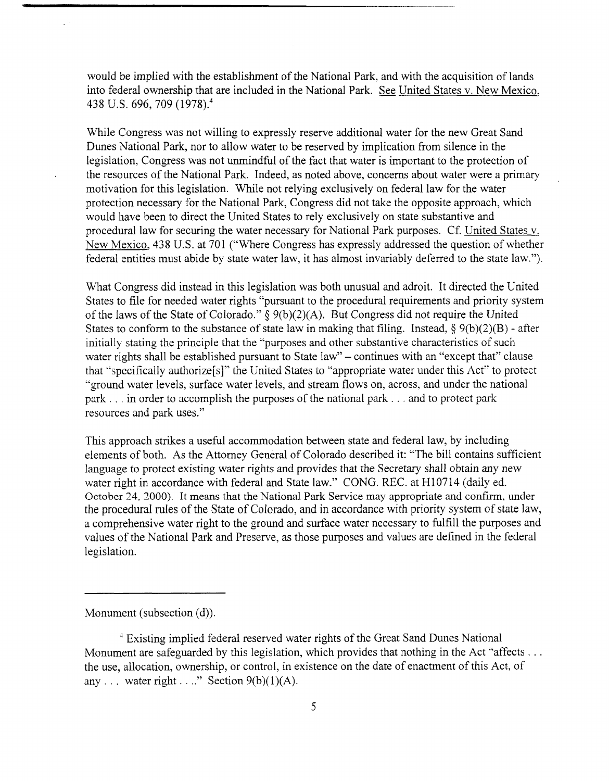would be implied with the establishment of the National Park, and with the acquisition of lands into federal ownership that are included in the National Park. See United States v. New Mexico, 438 U.S. 696, 709 (1978).4

While Congress was not willing to expressly reserve additional water for the new Great Sand Dunes National Park, nor to allow water to be reserved by implication from silence in the legislation, Congress was not unmindful of the fact that water is important to the protection of the resources of the National Park. Indeed, as noted above, concerns about water were a primary motivation for this legislation. While not relying exclusively on federal law for the water protection necessary for the National Park, Congress did not take the opposite approach, which would have been to direct the United States to rely exclusively on state substantive and procedural law for securing the water necessary for National Park purposes. Cf. United States v. New Mexico, 438 U.S. at 701 ("Where Congress has expressly addressed the question of whether federal entities must abide by state water law, it has almost invariably deferred to the state law.").

What Congress did instead in this legislation was both unusual and adroit. It directed the United States to file for needed water rights "pursuant to the procedural requirements and priority system of the laws of the State of Colorado."  $\S 9(b)(2)(A)$ . But Congress did not require the United States to conform to the substance of state law in making that filing. Instead,  $\S 9(b)(2)(B)$  - after initially stating the principle that the "purposes and other substantive characteristics of such water rights shall be established pursuant to State law" – continues with an "except that" clause that "specifically authorize<sup>[s]"</sup> the United States to "appropriate water under this Act" to protect "ground water levels, surface water levels, and stream flows on, across, and under the national park . . . in order to accomplish the purposes of the national park . . . and to protect park resources and park uses."

This approach strikes a useful accommodation between state and federal law, by including elements of both. As the Attorney General of Colorado described it: "The bill contains sufficient language to protect existing water rights and provides that the Secretary shall obtain any new water right in accordance with federal and State law." CONG. REC. at HI0714 (daily ed. October 24, 2000). It means that the National Park Service may appropriate and confirm, under the procedural rules of the State of Colorado, and in accordance with priority system of state law, a comprehensive water right to the ground and surface water necessary to fulfill the purposes and values of the National Park and Preserve, as those purposes and values are defined in the federal legislation.

Monument (subsection (d)).

<sup>&</sup>lt;sup>4</sup> Existing implied federal reserved water rights of the Great Sand Dunes National Monument are safeguarded by this legislation, which provides that nothing in the Act "affects . . . the use, allocation, ownership, or control, in existence on the date of enactment of this Act, of any ... water right ...." Section  $9(b)(1)(A)$ .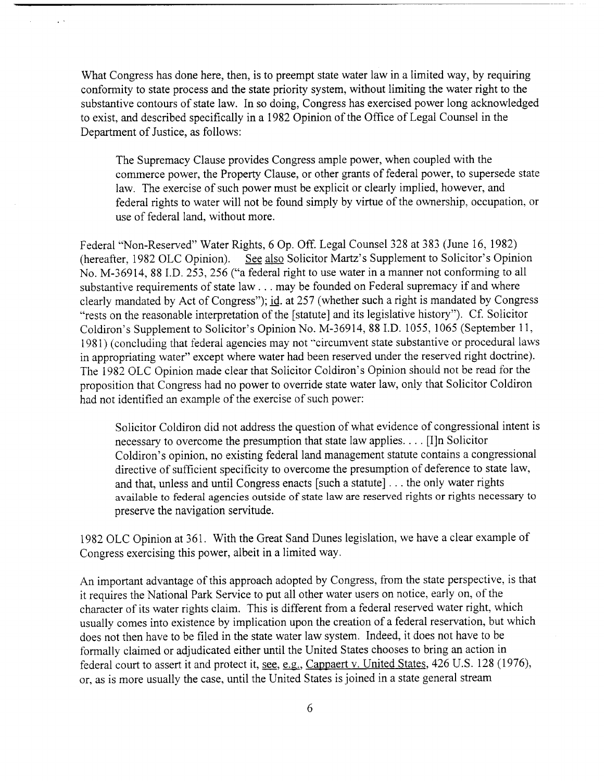What Congress has done here, then, is to preempt state water law in a limited way, by requiring conformity to state process and the state priority system, without limiting the water right to the substantive contours of state law. In so doing, Congress has exercised power long acknowledged to exist, and described specifically in a 1982 Opinion of the Office of Legal Counsel in the Department of Justice, as follows:

The Supremacy Clause provides Congress ample power, when coupled with the commerce power, the Property Clause, or other grants of federal power, to supersede state law. The exercise of such power must be explicit or clearly implied, however, and federal rights to water will not be found simply by virtue of the ownership, occupation, or use of federal land, without more.

Federal "Non-Reserved" Water fights, 6 Op. Off. Legal Counsel 328 at 383 (June 16, 1982) (hereafter, 1982 OLC Opinion). See also Solicitor Martz's Supplement to Solicitor's Opinion No. M-36914, 88 I.D. 253, 256 ("a federal right to use water in a manner not conforming to all substantive requirements of state law . . . may be founded on Federal supremacy if and where clearly mandated by Act of Congress"); **id.** at 257 (whether such a right is mandated by Congress "rests on the reasonable interpretation of the [statute] and its legislative history"). Cf. Solicitor Coldiron's Supplement to Solicitor's Opinion No. M-36914, 88 I.D. 1055, 1065 (September 11, 198 1) (concluding that federal agencies may not "circumvent state substantive or procedural laws in appropriating water" except where water had been reserved under the reserved right doctrine). The 1982 OLC Opinion made clear that Solicitor Coldiron's Opinion should not be read for the proposition that Congress had no power to override state water law, only that Solicitor Coldiron had not identified an example of the exercise of such power:

Solicitor Coldiron did not address the question of what evidence of congressional intent is necessary to overcome the presumption that state law applies. . . . [I]n Solicitor Coldiron's opinion, no existing federal land management statute contains a congressional directive of sufficient specificity to overcome the presumption of deference to state law, and that, unless and until Congress enacts [such a statute] . . . the only water rights available to federal agencies outside of state law are reserved rights or rights necessary to preserve the navigation servitude.

1982 OLC Opinion at 361. With the Great Sand Dunes legislation, we have a clear example of Congress exercising this power, albeit in a limited way.

An important advantage of this approach adopted by Congress, from the state perspective, is that it requires the National Park Service to put all other water users on notice, early on, of the character of its water rights claim. This is different from a federal reserved water right, which usually comes into existence by implication upon the creation of a federal reservation, but which does not then have to be filed in the state water law system. Indeed, it does not have to be formally claimed or adjudicated either until the United States chooses to bring an action in federal court to assert it and protect it, <u>see, e.g., Cappaert v. United States</u>, 426 U.S. 128 (1976), or, as is more usually the case, until the United States is joined in a state general stream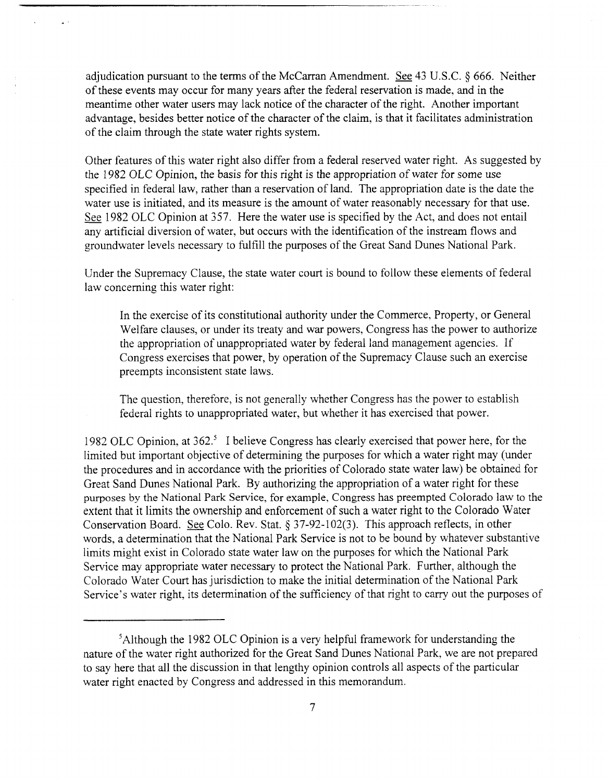adjudication pursuant to the terms of the McCarran Amendment. 43 U.S.C. *5* 666. Neither of these events may occur for many years after the federal reservation is made, and in the meantime other water users may lack notice of the character of the right. Another important advantage, besides better notice of the character of the claim, is that it facilitates administration of the claim through the state water rights system.

Other features of this water right also differ from a federal reserved water right. As suggested by the 1982 OLC Opinion, the basis for this right is the appropriation of water for some use specified in federal law, rather than a reservation of land. The appropriation date is the date the water use is initiated, and its measure is the amount of water reasonably necessary for that use. the 1982 OLC Opinion, the basis for this right is the appropriation of water for some use<br>specified in federal law, rather than a reservation of land. The appropriation date is the date the<br>water use is initiated, and its any artificial diversion of water, but occurs with the identification of the instream flows and groundwater levels necessary to fulfill the purposes of the Great Sand Dunes National Park. **L.** 

Under the Supremacy Clause, the state water court is bound to follow these elements of federal law concerning this water right:

In the exercise of its constitutional authority under the Commerce, Property, or General Welfare clauses, or under its treaty and war powers, Congress has the power to authorize the appropriation of unappropriated water by federal land management agencies. If Congress exercises that power, by operation of the Supremacy Clause such an exercise preempts inconsistent state laws.

The question, therefore, is not generally whether Congress has the power to establish federal rights to unappropriated water, but whether it has exercised that power.

1982 OLC Opinion, at 362.' I believe Congress has clearly exercised that power here, for the limited but important objective of determining the purposes for which a water right may (under the procedures and in accordance with the priorities of Colorado state water law) be obtained for Great Sand Dunes National Park. By authorizing the appropriation of a water right for these purposes by the National Park Service, for example, Congress has preempted Colorado law to the extent that it limits the ownership and enforcement of such a water right to the Colorado Water Conservation Board. *See* Colo. Rev. Stat. *5* 37-92-102(3). This approach reflects, in other words, a determination that the National Park Service is not to be bound by whatever substantive limits might exist in Colorado state water law on the purposes for which the National Park Service may appropriate water necessary to protect the National Park. Further, although the Colorado Water Court has jurisdiction to make the initial determination of the National Park Service's water right, its determination of the sufficiency of that right to carry out the purposes of

<sup>&#</sup>x27;Although the 1982 OLC Opinion is a very helpful framework for understanding the nature of the water right authorized for the Great Sand Dunes National Park, we are not prepared to say here that all the discussion in that lengthy opinion controls all aspects of the particular water right enacted by Congress and addressed in this memorandum.